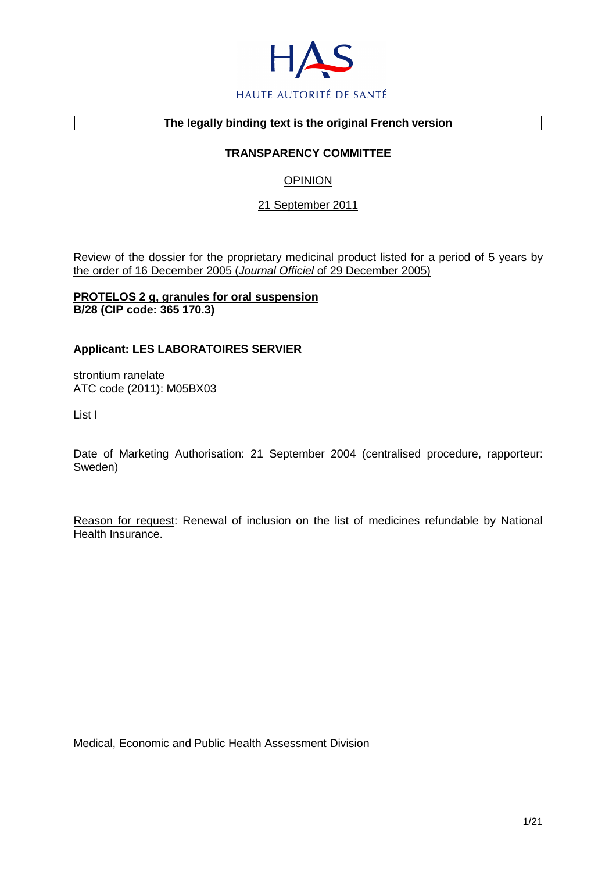

## **The legally binding text is the original French version**

## **TRANSPARENCY COMMITTEE**

# **OPINION**

## 21 September 2011

Review of the dossier for the proprietary medicinal product listed for a period of 5 years by the order of 16 December 2005 (Journal Officiel of 29 December 2005)

### **PROTELOS 2 g, granules for oral suspension B/28 (CIP code: 365 170.3)**

## **Applicant: LES LABORATOIRES SERVIER**

strontium ranelate ATC code (2011): M05BX03

List I

Date of Marketing Authorisation: 21 September 2004 (centralised procedure, rapporteur: Sweden)

Reason for request: Renewal of inclusion on the list of medicines refundable by National Health Insurance.

Medical, Economic and Public Health Assessment Division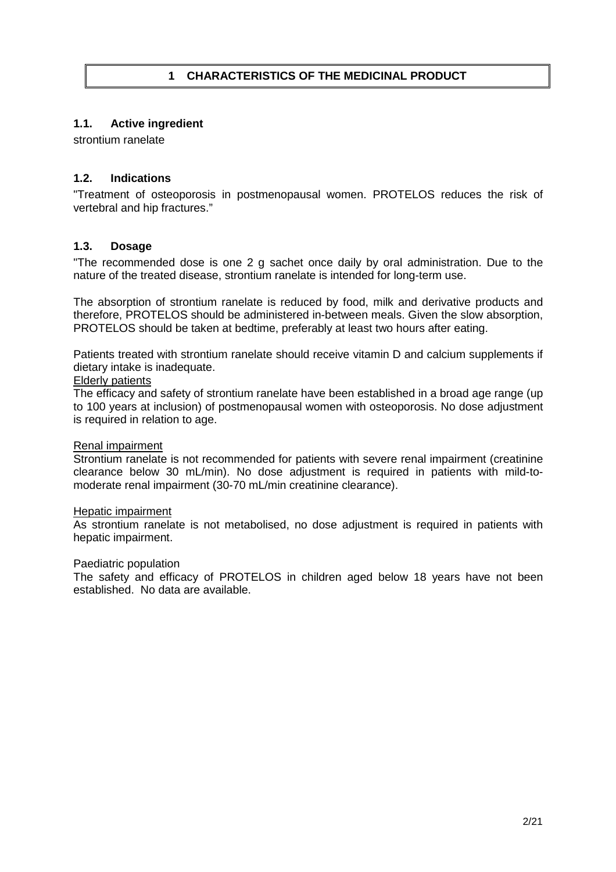## **1.1. Active ingredient**

strontium ranelate

## **1.2. Indications**

"Treatment of osteoporosis in postmenopausal women. PROTELOS reduces the risk of vertebral and hip fractures."

## **1.3. Dosage**

"The recommended dose is one 2 g sachet once daily by oral administration. Due to the nature of the treated disease, strontium ranelate is intended for long-term use.

The absorption of strontium ranelate is reduced by food, milk and derivative products and therefore, PROTELOS should be administered in-between meals. Given the slow absorption, PROTELOS should be taken at bedtime, preferably at least two hours after eating.

Patients treated with strontium ranelate should receive vitamin D and calcium supplements if dietary intake is inadequate.

## Elderly patients

The efficacy and safety of strontium ranelate have been established in a broad age range (up to 100 years at inclusion) of postmenopausal women with osteoporosis. No dose adjustment is required in relation to age.

#### Renal impairment

Strontium ranelate is not recommended for patients with severe renal impairment (creatinine clearance below 30 mL/min). No dose adjustment is required in patients with mild-tomoderate renal impairment (30-70 mL/min creatinine clearance).

#### Hepatic impairment

As strontium ranelate is not metabolised, no dose adjustment is required in patients with hepatic impairment.

#### Paediatric population

The safety and efficacy of PROTELOS in children aged below 18 years have not been established. No data are available.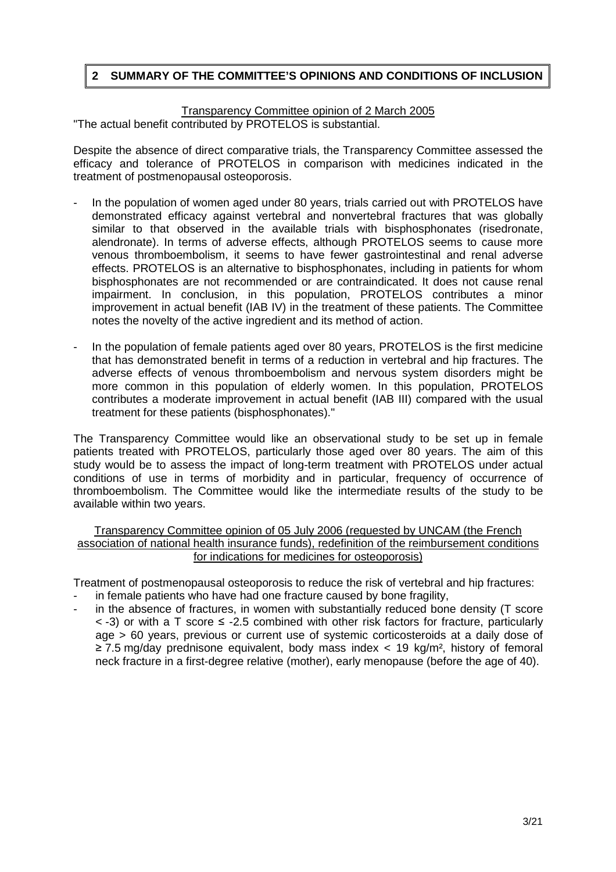# **2 SUMMARY OF THE COMMITTEE'S OPINIONS AND CONDITIONS OF INCLUSION**

Transparency Committee opinion of 2 March 2005 "The actual benefit contributed by PROTELOS is substantial.

Despite the absence of direct comparative trials, the Transparency Committee assessed the efficacy and tolerance of PROTELOS in comparison with medicines indicated in the treatment of postmenopausal osteoporosis.

- In the population of women aged under 80 years, trials carried out with PROTELOS have demonstrated efficacy against vertebral and nonvertebral fractures that was globally similar to that observed in the available trials with bisphosphonates (risedronate, alendronate). In terms of adverse effects, although PROTELOS seems to cause more venous thromboembolism, it seems to have fewer gastrointestinal and renal adverse effects. PROTELOS is an alternative to bisphosphonates, including in patients for whom bisphosphonates are not recommended or are contraindicated. It does not cause renal impairment. In conclusion, in this population, PROTELOS contributes a minor improvement in actual benefit (IAB IV) in the treatment of these patients. The Committee notes the novelty of the active ingredient and its method of action.
- In the population of female patients aged over 80 years, PROTELOS is the first medicine that has demonstrated benefit in terms of a reduction in vertebral and hip fractures. The adverse effects of venous thromboembolism and nervous system disorders might be more common in this population of elderly women. In this population, PROTELOS contributes a moderate improvement in actual benefit (IAB III) compared with the usual treatment for these patients (bisphosphonates)."

The Transparency Committee would like an observational study to be set up in female patients treated with PROTELOS, particularly those aged over 80 years. The aim of this study would be to assess the impact of long-term treatment with PROTELOS under actual conditions of use in terms of morbidity and in particular, frequency of occurrence of thromboembolism. The Committee would like the intermediate results of the study to be available within two years.

Transparency Committee opinion of 05 July 2006 (requested by UNCAM (the French association of national health insurance funds), redefinition of the reimbursement conditions for indications for medicines for osteoporosis)

Treatment of postmenopausal osteoporosis to reduce the risk of vertebral and hip fractures:

- in female patients who have had one fracture caused by bone fragility,
- in the absence of fractures, in women with substantially reduced bone density (T score < -3) or with a T score ≤ -2.5 combined with other risk factors for fracture, particularly age > 60 years, previous or current use of systemic corticosteroids at a daily dose of ≥ 7.5 mg/day prednisone equivalent, body mass index < 19 kg/m², history of femoral neck fracture in a first-degree relative (mother), early menopause (before the age of 40).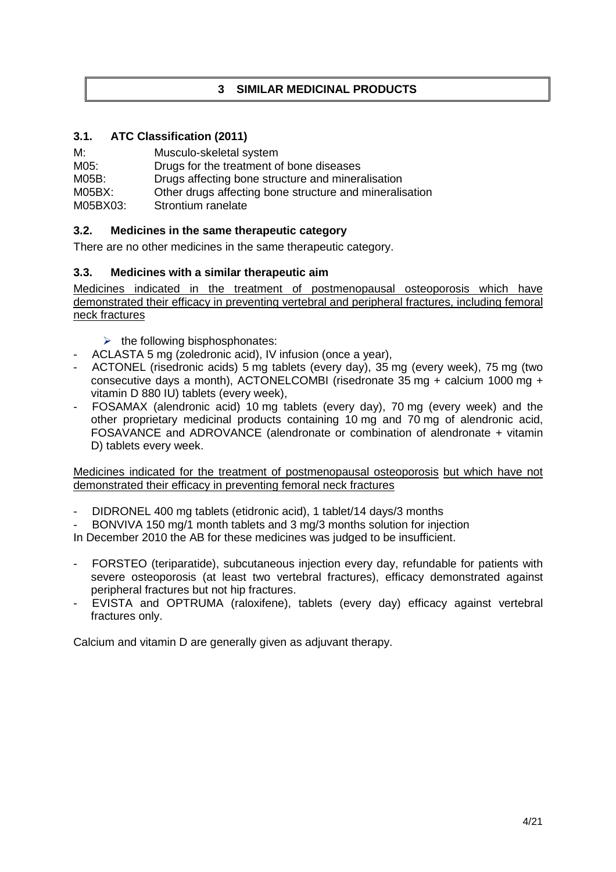# **3 SIMILAR MEDICINAL PRODUCTS**

# **3.1. ATC Classification (2011)**

M: Musculo-skeletal system M05: Drugs for the treatment of bone diseases M05B: Drugs affecting bone structure and mineralisation M05BX: Other drugs affecting bone structure and mineralisation M05BX03: Strontium ranelate

# **3.2. Medicines in the same therapeutic category**

There are no other medicines in the same therapeutic category.

# **3.3. Medicines with a similar therapeutic aim**

Medicines indicated in the treatment of postmenopausal osteoporosis which have demonstrated their efficacy in preventing vertebral and peripheral fractures, including femoral neck fractures

- $\triangleright$  the following bisphosphonates:
- ACLASTA 5 mg (zoledronic acid), IV infusion (once a year),
- ACTONEL (risedronic acids) 5 mg tablets (every day), 35 mg (every week), 75 mg (two consecutive days a month), ACTONELCOMBI (risedronate 35 mg + calcium 1000 mg + vitamin D 880 IU) tablets (every week),
- FOSAMAX (alendronic acid) 10 mg tablets (every day), 70 mg (every week) and the other proprietary medicinal products containing 10 mg and 70 mg of alendronic acid, FOSAVANCE and ADROVANCE (alendronate or combination of alendronate + vitamin D) tablets every week.

Medicines indicated for the treatment of postmenopausal osteoporosis but which have not demonstrated their efficacy in preventing femoral neck fractures

- DIDRONEL 400 mg tablets (etidronic acid), 1 tablet/14 days/3 months
- BONVIVA 150 mg/1 month tablets and 3 mg/3 months solution for injection

In December 2010 the AB for these medicines was judged to be insufficient.

- FORSTEO (teriparatide), subcutaneous injection every day, refundable for patients with severe osteoporosis (at least two vertebral fractures), efficacy demonstrated against peripheral fractures but not hip fractures.
- EVISTA and OPTRUMA (raloxifene), tablets (every day) efficacy against vertebral fractures only.

Calcium and vitamin D are generally given as adjuvant therapy.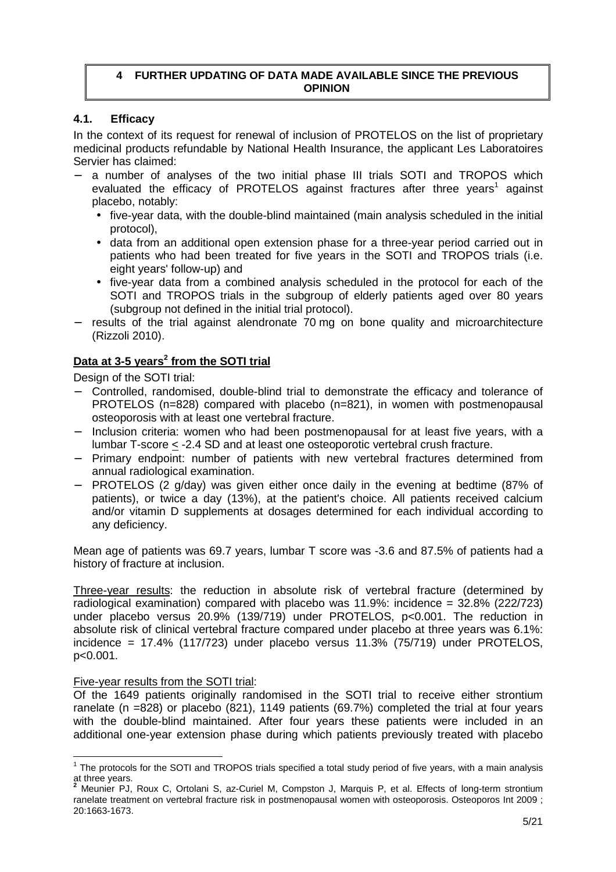## **4 FURTHER UPDATING OF DATA MADE AVAILABLE SINCE THE PREVIOUS OPINION**

## **4.1. Efficacy**

In the context of its request for renewal of inclusion of PROTELOS on the list of proprietary medicinal products refundable by National Health Insurance, the applicant Les Laboratoires Servier has claimed:

- a number of analyses of the two initial phase III trials SOTI and TROPOS which evaluated the efficacy of PROTELOS against fractures after three years<sup>1</sup> against placebo, notably:
	- five-year data, with the double-blind maintained (main analysis scheduled in the initial protocol),
	- data from an additional open extension phase for a three-year period carried out in patients who had been treated for five years in the SOTI and TROPOS trials (i.e. eight years' follow-up) and
	- five-year data from a combined analysis scheduled in the protocol for each of the SOTI and TROPOS trials in the subgroup of elderly patients aged over 80 years (subgroup not defined in the initial trial protocol).
- − results of the trial against alendronate 70 mg on bone quality and microarchitecture (Rizzoli 2010).

# **Data at 3-5 years<sup>2</sup> from the SOTI trial**

Design of the SOTI trial:

- − Controlled, randomised, double-blind trial to demonstrate the efficacy and tolerance of PROTELOS (n=828) compared with placebo (n=821), in women with postmenopausal osteoporosis with at least one vertebral fracture.
- − Inclusion criteria: women who had been postmenopausal for at least five years, with a lumbar T-score < -2.4 SD and at least one osteoporotic vertebral crush fracture.
- − Primary endpoint: number of patients with new vertebral fractures determined from annual radiological examination.
- PROTELOS (2 g/day) was given either once daily in the evening at bedtime (87% of patients), or twice a day (13%), at the patient's choice. All patients received calcium and/or vitamin D supplements at dosages determined for each individual according to any deficiency.

Mean age of patients was 69.7 years, lumbar T score was -3.6 and 87.5% of patients had a history of fracture at inclusion.

Three-year results: the reduction in absolute risk of vertebral fracture (determined by radiological examination) compared with placebo was 11.9%: incidence = 32.8% (222/723) under placebo versus 20.9% (139/719) under PROTELOS, p<0.001. The reduction in absolute risk of clinical vertebral fracture compared under placebo at three years was 6.1%: incidence = 17.4% (117/723) under placebo versus 11.3% (75/719) under PROTELOS, p<0.001.

## Five-year results from the SOTI trial:

Of the 1649 patients originally randomised in the SOTI trial to receive either strontium ranelate (n =828) or placebo (821), 1149 patients (69.7%) completed the trial at four years with the double-blind maintained. After four years these patients were included in an additional one-year extension phase during which patients previously treated with placebo

The protocols for the SOTI and TROPOS trials specified a total study period of five years, with a main analysis at three years. **2**

Meunier PJ, Roux C, Ortolani S, az-Curiel M, Compston J, Marquis P, et al. Effects of long-term strontium ranelate treatment on vertebral fracture risk in postmenopausal women with osteoporosis. Osteoporos Int 2009 ; 20:1663-1673.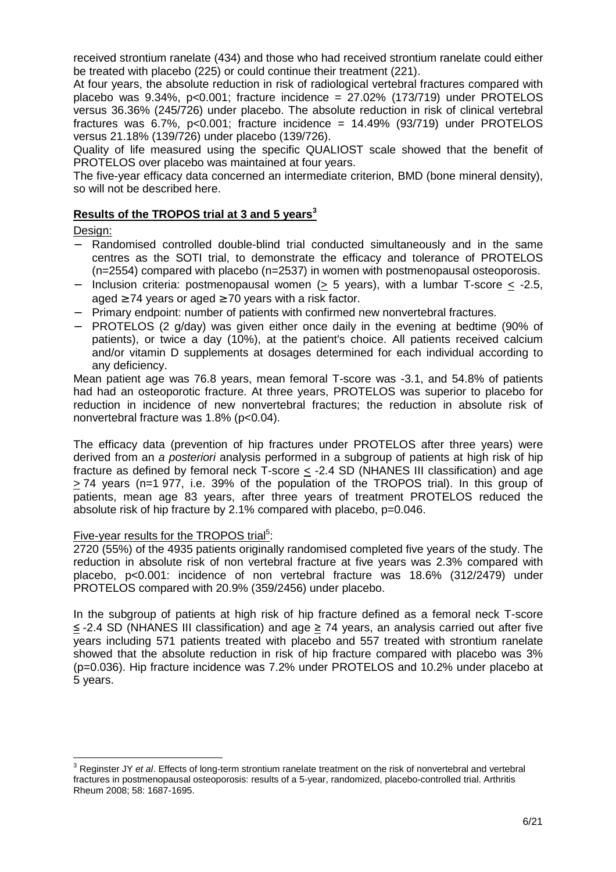received strontium ranelate (434) and those who had received strontium ranelate could either be treated with placebo (225) or could continue their treatment (221).

At four years, the absolute reduction in risk of radiological vertebral fractures compared with placebo was  $9.34\%$ , p<0.001; fracture incidence =  $27.02\%$  (173/719) under PROTELOS versus 36.36% (245/726) under placebo. The absolute reduction in risk of clinical vertebral fractures was 6.7%, p<0.001; fracture incidence =  $14.49\%$  (93/719) under PROTELOS versus 21.18% (139/726) under placebo (139/726).

Quality of life measured using the specific QUALIOST scale showed that the benefit of PROTELOS over placebo was maintained at four years.

The five-year efficacy data concerned an intermediate criterion, BMD (bone mineral density), so will not be described here.

## **Results of the TROPOS trial at 3 and 5 years<sup>3</sup>**

Design:

- − Randomised controlled double-blind trial conducted simultaneously and in the same centres as the SOTI trial, to demonstrate the efficacy and tolerance of PROTELOS (n=2554) compared with placebo (n=2537) in women with postmenopausal osteoporosis.
- − Inclusion criteria: postmenopausal women (> 5 years), with a lumbar T-score  $\leq$  -2.5, aged  $\geq$  74 years or aged  $\geq$  70 years with a risk factor.
- − Primary endpoint: number of patients with confirmed new nonvertebral fractures.
- − PROTELOS (2 g/day) was given either once daily in the evening at bedtime (90% of patients), or twice a day (10%), at the patient's choice. All patients received calcium and/or vitamin D supplements at dosages determined for each individual according to any deficiency.

Mean patient age was 76.8 years, mean femoral T-score was -3.1, and 54.8% of patients had had an osteoporotic fracture. At three years, PROTELOS was superior to placebo for reduction in incidence of new nonvertebral fractures; the reduction in absolute risk of nonvertebral fracture was 1.8% (p<0.04).

The efficacy data (prevention of hip fractures under PROTELOS after three years) were derived from an a posteriori analysis performed in a subgroup of patients at high risk of hip fracture as defined by femoral neck T-score < -2.4 SD (NHANES III classification) and age > 74 years (n=1 977, i.e. 39% of the population of the TROPOS trial). In this group of patients, mean age 83 years, after three years of treatment PROTELOS reduced the absolute risk of hip fracture by 2.1% compared with placebo, p=0.046.

### Five-year results for the TROPOS trial<sup>5</sup>:

2720 (55%) of the 4935 patients originally randomised completed five years of the study. The reduction in absolute risk of non vertebral fracture at five years was 2.3% compared with placebo, p<0.001: incidence of non vertebral fracture was 18.6% (312/2479) under PROTELOS compared with 20.9% (359/2456) under placebo.

In the subgroup of patients at high risk of hip fracture defined as a femoral neck T-score ≤ -2.4 SD (NHANES III classification) and age ≥ 74 years, an analysis carried out after five years including 571 patients treated with placebo and 557 treated with strontium ranelate showed that the absolute reduction in risk of hip fracture compared with placebo was 3% (p=0.036). Hip fracture incidence was 7.2% under PROTELOS and 10.2% under placebo at 5 years.

 3 Reginster JY et al. Effects of long-term strontium ranelate treatment on the risk of nonvertebral and vertebral fractures in postmenopausal osteoporosis: results of a 5-year, randomized, placebo-controlled trial. Arthritis Rheum 2008; 58: 1687-1695.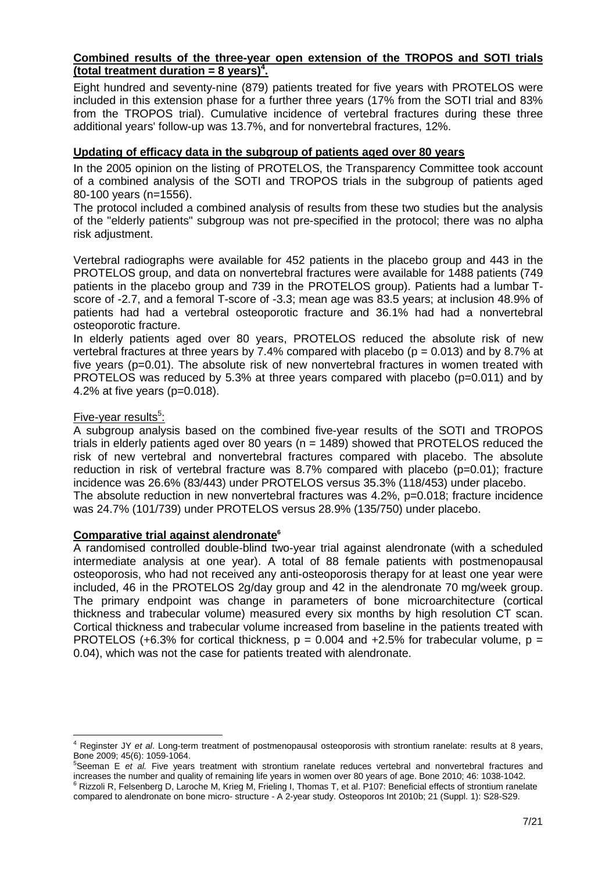### **Combined results of the three-year open extension of the TROPOS and SOTI trials (total treatment duration = 8 years)<sup>4</sup> .**

Eight hundred and seventy-nine (879) patients treated for five years with PROTELOS were included in this extension phase for a further three years (17% from the SOTI trial and 83% from the TROPOS trial). Cumulative incidence of vertebral fractures during these three additional years' follow-up was 13.7%, and for nonvertebral fractures, 12%.

## **Updating of efficacy data in the subgroup of patients aged over 80 years**

In the 2005 opinion on the listing of PROTELOS, the Transparency Committee took account of a combined analysis of the SOTI and TROPOS trials in the subgroup of patients aged 80-100 years (n=1556).

The protocol included a combined analysis of results from these two studies but the analysis of the "elderly patients" subgroup was not pre-specified in the protocol; there was no alpha risk adjustment.

Vertebral radiographs were available for 452 patients in the placebo group and 443 in the PROTELOS group, and data on nonvertebral fractures were available for 1488 patients (749 patients in the placebo group and 739 in the PROTELOS group). Patients had a lumbar Tscore of -2.7, and a femoral T-score of -3.3; mean age was 83.5 years; at inclusion 48.9% of patients had had a vertebral osteoporotic fracture and 36.1% had had a nonvertebral osteoporotic fracture.

In elderly patients aged over 80 years, PROTELOS reduced the absolute risk of new vertebral fractures at three years by 7.4% compared with placebo ( $p = 0.013$ ) and by 8.7% at five years (p=0.01). The absolute risk of new nonvertebral fractures in women treated with PROTELOS was reduced by 5.3% at three years compared with placebo (p=0.011) and by 4.2% at five years (p=0.018).

## Five-year results<sup>5</sup>:

l

A subgroup analysis based on the combined five-year results of the SOTI and TROPOS trials in elderly patients aged over 80 years (n = 1489) showed that PROTELOS reduced the risk of new vertebral and nonvertebral fractures compared with placebo. The absolute reduction in risk of vertebral fracture was 8.7% compared with placebo (p=0.01); fracture incidence was 26.6% (83/443) under PROTELOS versus 35.3% (118/453) under placebo. The absolute reduction in new nonvertebral fractures was 4.2%, p=0.018; fracture incidence was 24.7% (101/739) under PROTELOS versus 28.9% (135/750) under placebo.

#### **Comparative trial against alendronate<sup>6</sup>**

A randomised controlled double-blind two-year trial against alendronate (with a scheduled intermediate analysis at one year). A total of 88 female patients with postmenopausal osteoporosis, who had not received any anti-osteoporosis therapy for at least one year were included, 46 in the PROTELOS 2g/day group and 42 in the alendronate 70 mg/week group. The primary endpoint was change in parameters of bone microarchitecture (cortical thickness and trabecular volume) measured every six months by high resolution CT scan. Cortical thickness and trabecular volume increased from baseline in the patients treated with PROTELOS (+6.3% for cortical thickness,  $p = 0.004$  and +2.5% for trabecular volume,  $p =$ 0.04), which was not the case for patients treated with alendronate.

<sup>&</sup>lt;sup>4</sup> Reginster JY et al. Long-term treatment of postmenopausal osteoporosis with strontium ranelate: results at 8 years, Bone 2009; 45(6): 1059-1064.

 $5$ Seeman E et al. Five years treatment with strontium ranelate reduces vertebral and nonvertebral fractures and increases the number and quality of remaining life years in women over 80 years of age. Bone 2010; 46: 1038-1042. <sup>6</sup> Rizzoli R, Felsenberg D, Laroche M, Krieg M, Frieling I, Thomas T, et al. P107: Beneficial effects of strontium ranelate compared to alendronate on bone micro- structure - A 2-year study. Osteoporos Int 2010b; 21 (Suppl. 1): S28-S29.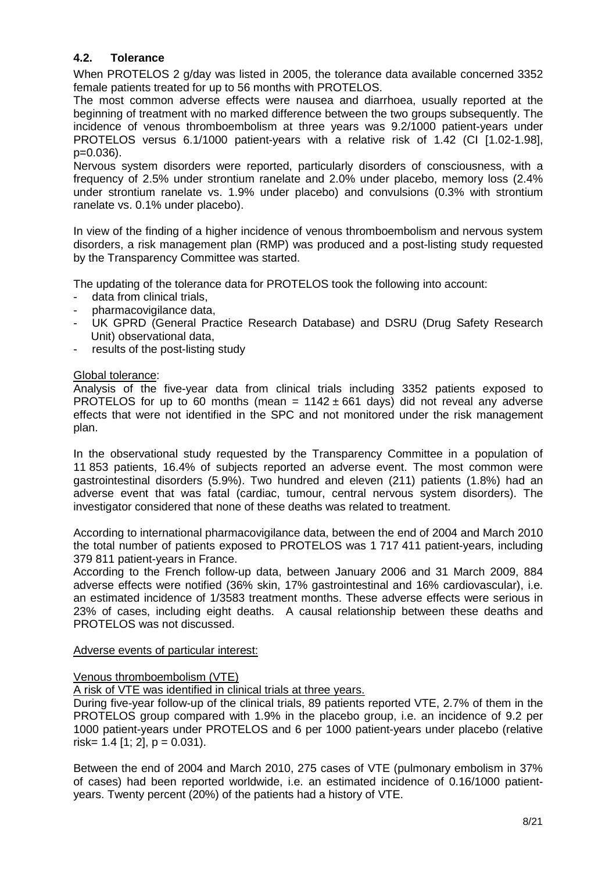# **4.2. Tolerance**

When PROTELOS 2 g/day was listed in 2005, the tolerance data available concerned 3352 female patients treated for up to 56 months with PROTELOS.

The most common adverse effects were nausea and diarrhoea, usually reported at the beginning of treatment with no marked difference between the two groups subsequently. The incidence of venous thromboembolism at three years was 9.2/1000 patient-years under PROTELOS versus 6.1/1000 patient-years with a relative risk of 1.42 (CI [1.02-1.98], p=0.036).

Nervous system disorders were reported, particularly disorders of consciousness, with a frequency of 2.5% under strontium ranelate and 2.0% under placebo, memory loss (2.4% under strontium ranelate vs. 1.9% under placebo) and convulsions (0.3% with strontium ranelate vs. 0.1% under placebo).

In view of the finding of a higher incidence of venous thromboembolism and nervous system disorders, a risk management plan (RMP) was produced and a post-listing study requested by the Transparency Committee was started.

The updating of the tolerance data for PROTELOS took the following into account:

- data from clinical trials,
- pharmacovigilance data,
- UK GPRD (General Practice Research Database) and DSRU (Drug Safety Research Unit) observational data,
- results of the post-listing study

#### Global tolerance:

Analysis of the five-year data from clinical trials including 3352 patients exposed to PROTELOS for up to 60 months (mean =  $1142 \pm 661$  days) did not reveal any adverse effects that were not identified in the SPC and not monitored under the risk management plan.

In the observational study requested by the Transparency Committee in a population of 11 853 patients, 16.4% of subjects reported an adverse event. The most common were gastrointestinal disorders (5.9%). Two hundred and eleven (211) patients (1.8%) had an adverse event that was fatal (cardiac, tumour, central nervous system disorders). The investigator considered that none of these deaths was related to treatment.

According to international pharmacovigilance data, between the end of 2004 and March 2010 the total number of patients exposed to PROTELOS was 1 717 411 patient-years, including 379 811 patient-years in France.

According to the French follow-up data, between January 2006 and 31 March 2009, 884 adverse effects were notified (36% skin, 17% gastrointestinal and 16% cardiovascular), i.e. an estimated incidence of 1/3583 treatment months. These adverse effects were serious in 23% of cases, including eight deaths. A causal relationship between these deaths and PROTELOS was not discussed.

#### Adverse events of particular interest:

## Venous thromboembolism (VTE)

A risk of VTE was identified in clinical trials at three years.

During five-year follow-up of the clinical trials, 89 patients reported VTE, 2.7% of them in the PROTELOS group compared with 1.9% in the placebo group, i.e. an incidence of 9.2 per 1000 patient-years under PROTELOS and 6 per 1000 patient-years under placebo (relative risk=  $1.4$  [1; 2], p = 0.031).

Between the end of 2004 and March 2010, 275 cases of VTE (pulmonary embolism in 37% of cases) had been reported worldwide, i.e. an estimated incidence of 0.16/1000 patientyears. Twenty percent (20%) of the patients had a history of VTE.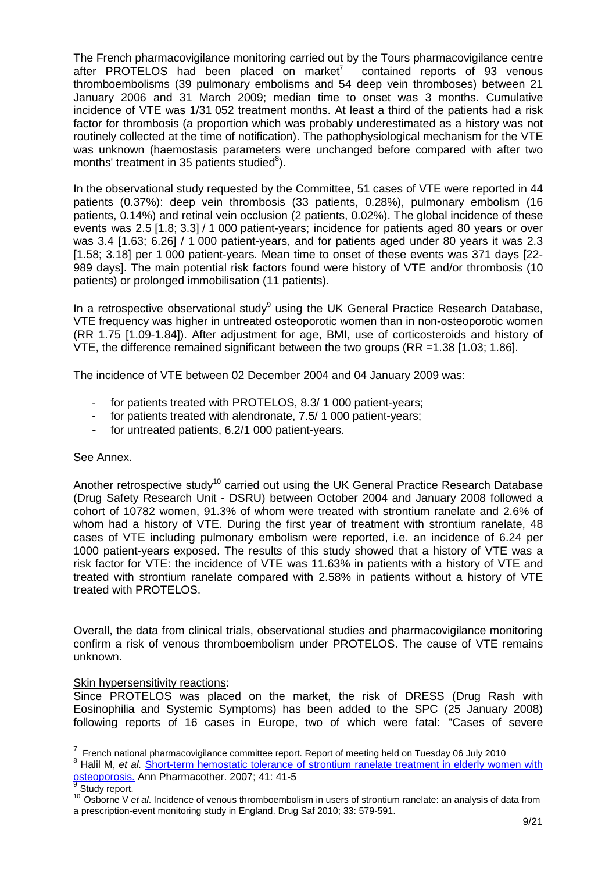The French pharmacovigilance monitoring carried out by the Tours pharmacovigilance centre after PROTELOS had been placed on market $^7$  contained reports of 93 venous thromboembolisms (39 pulmonary embolisms and 54 deep vein thromboses) between 21 January 2006 and 31 March 2009; median time to onset was 3 months. Cumulative incidence of VTE was 1/31 052 treatment months. At least a third of the patients had a risk factor for thrombosis (a proportion which was probably underestimated as a history was not routinely collected at the time of notification). The pathophysiological mechanism for the VTE was unknown (haemostasis parameters were unchanged before compared with after two months' treatment in 35 patients studied $^8$ ).

In the observational study requested by the Committee, 51 cases of VTE were reported in 44 patients (0.37%): deep vein thrombosis (33 patients, 0.28%), pulmonary embolism (16 patients, 0.14%) and retinal vein occlusion (2 patients, 0.02%). The global incidence of these events was 2.5 [1.8; 3.3] / 1 000 patient-years; incidence for patients aged 80 years or over was 3.4 [1.63; 6.26] / 1 000 patient-years, and for patients aged under 80 years it was 2.3 [1.58; 3.18] per 1 000 patient-years. Mean time to onset of these events was 371 days [22- 989 days]. The main potential risk factors found were history of VTE and/or thrombosis (10 patients) or prolonged immobilisation (11 patients).

In a retrospective observational study<sup>9</sup> using the UK General Practice Research Database, VTE frequency was higher in untreated osteoporotic women than in non-osteoporotic women (RR 1.75 [1.09-1.84]). After adjustment for age, BMI, use of corticosteroids and history of VTE, the difference remained significant between the two groups (RR =1.38 [1.03; 1.86].

The incidence of VTE between 02 December 2004 and 04 January 2009 was:

- for patients treated with PROTELOS, 8.3/ 1 000 patient-years;
- for patients treated with alendronate, 7.5/ 1 000 patient-years;
- for untreated patients, 6.2/1 000 patient-years.

## See Annex.

Another retrospective study<sup>10</sup> carried out using the UK General Practice Research Database (Drug Safety Research Unit - DSRU) between October 2004 and January 2008 followed a cohort of 10782 women, 91.3% of whom were treated with strontium ranelate and 2.6% of whom had a history of VTE. During the first year of treatment with strontium ranelate, 48 cases of VTE including pulmonary embolism were reported, i.e. an incidence of 6.24 per 1000 patient-years exposed. The results of this study showed that a history of VTE was a risk factor for VTE: the incidence of VTE was 11.63% in patients with a history of VTE and treated with strontium ranelate compared with 2.58% in patients without a history of VTE treated with PROTELOS.

Overall, the data from clinical trials, observational studies and pharmacovigilance monitoring confirm a risk of venous thromboembolism under PROTELOS. The cause of VTE remains unknown.

## Skin hypersensitivity reactions:

Since PROTELOS was placed on the market, the risk of DRESS (Drug Rash with Eosinophilia and Systemic Symptoms) has been added to the SPC (25 January 2008) following reports of 16 cases in Europe, two of which were fatal: "Cases of severe

 7 French national pharmacovigilance committee report. Report of meeting held on Tuesday 06 July 2010 <sup>8</sup> Halil M, et al. **Short-term hemostatic tolerance of strontium ranelate treatment in elderly women with** osteoporosis. Ann Pharmacother. 2007; 41: 41-5

Study report.

<sup>&</sup>lt;sup>10</sup> Osborne V et al. Incidence of venous thromboembolism in users of strontium ranelate: an analysis of data from a prescription-event monitoring study in England. Drug Saf 2010; 33: 579-591.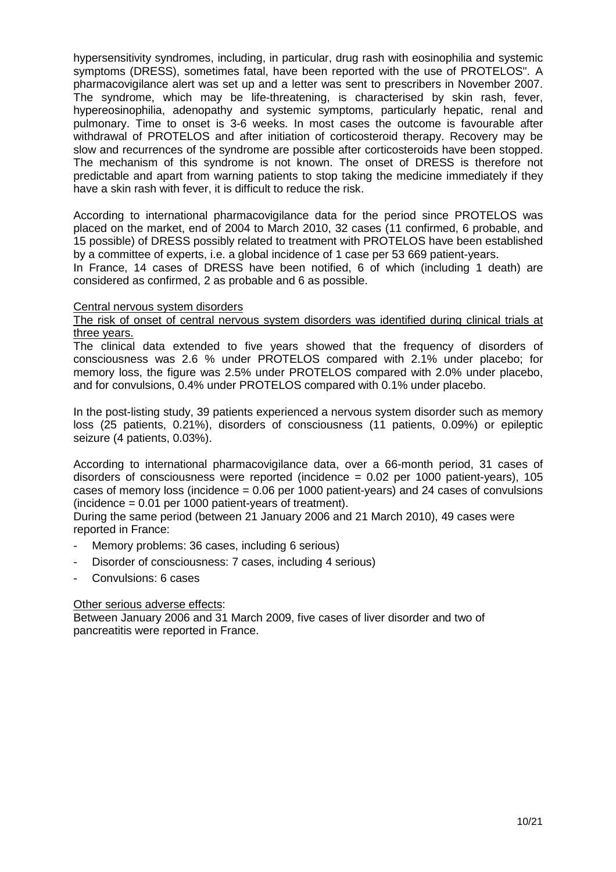hypersensitivity syndromes, including, in particular, drug rash with eosinophilia and systemic symptoms (DRESS), sometimes fatal, have been reported with the use of PROTELOS". A pharmacovigilance alert was set up and a letter was sent to prescribers in November 2007. The syndrome, which may be life-threatening, is characterised by skin rash, fever, hypereosinophilia, adenopathy and systemic symptoms, particularly hepatic, renal and pulmonary. Time to onset is 3-6 weeks. In most cases the outcome is favourable after withdrawal of PROTELOS and after initiation of corticosteroid therapy. Recovery may be slow and recurrences of the syndrome are possible after corticosteroids have been stopped. The mechanism of this syndrome is not known. The onset of DRESS is therefore not predictable and apart from warning patients to stop taking the medicine immediately if they have a skin rash with fever, it is difficult to reduce the risk.

According to international pharmacovigilance data for the period since PROTELOS was placed on the market, end of 2004 to March 2010, 32 cases (11 confirmed, 6 probable, and 15 possible) of DRESS possibly related to treatment with PROTELOS have been established by a committee of experts, i.e. a global incidence of 1 case per 53 669 patient-years.

In France, 14 cases of DRESS have been notified, 6 of which (including 1 death) are considered as confirmed, 2 as probable and 6 as possible.

### Central nervous system disorders

#### The risk of onset of central nervous system disorders was identified during clinical trials at three years.

The clinical data extended to five years showed that the frequency of disorders of consciousness was 2.6 % under PROTELOS compared with 2.1% under placebo; for memory loss, the figure was 2.5% under PROTELOS compared with 2.0% under placebo, and for convulsions, 0.4% under PROTELOS compared with 0.1% under placebo.

In the post-listing study, 39 patients experienced a nervous system disorder such as memory loss (25 patients, 0.21%), disorders of consciousness (11 patients, 0.09%) or epileptic seizure (4 patients, 0.03%).

According to international pharmacovigilance data, over a 66-month period, 31 cases of disorders of consciousness were reported (incidence = 0.02 per 1000 patient-years), 105 cases of memory loss (incidence  $= 0.06$  per 1000 patient-years) and 24 cases of convulsions (incidence = 0.01 per 1000 patient-years of treatment).

During the same period (between 21 January 2006 and 21 March 2010), 49 cases were reported in France:

- Memory problems: 36 cases, including 6 serious)
- Disorder of consciousness: 7 cases, including 4 serious)
- Convulsions: 6 cases

## Other serious adverse effects:

Between January 2006 and 31 March 2009, five cases of liver disorder and two of pancreatitis were reported in France.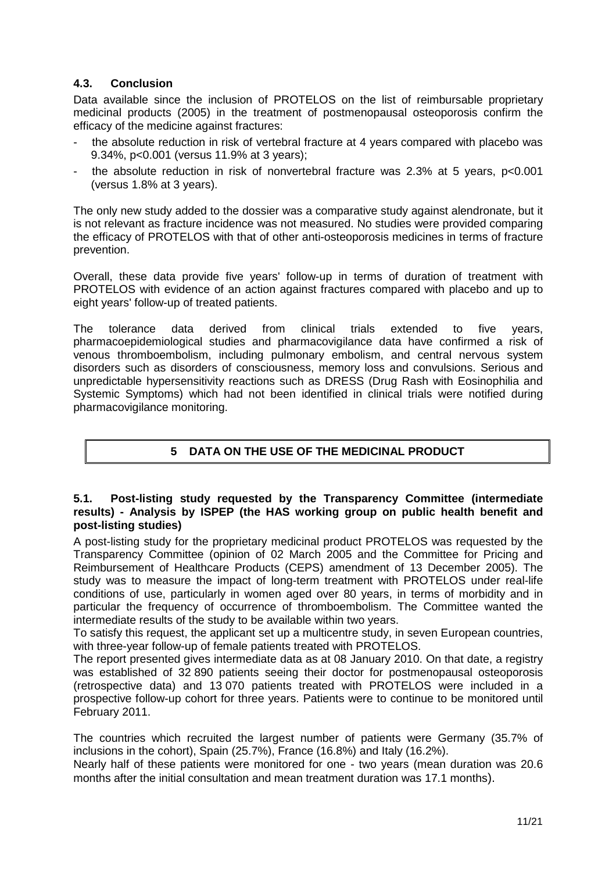# **4.3. Conclusion**

Data available since the inclusion of PROTELOS on the list of reimbursable proprietary medicinal products (2005) in the treatment of postmenopausal osteoporosis confirm the efficacy of the medicine against fractures:

- the absolute reduction in risk of vertebral fracture at 4 years compared with placebo was 9.34%, p<0.001 (versus 11.9% at 3 years);
- the absolute reduction in risk of nonvertebral fracture was  $2.3\%$  at 5 years,  $p<0.001$ (versus 1.8% at 3 years).

The only new study added to the dossier was a comparative study against alendronate, but it is not relevant as fracture incidence was not measured. No studies were provided comparing the efficacy of PROTELOS with that of other anti-osteoporosis medicines in terms of fracture prevention.

Overall, these data provide five years' follow-up in terms of duration of treatment with PROTELOS with evidence of an action against fractures compared with placebo and up to eight years' follow-up of treated patients.

The tolerance data derived from clinical trials extended to five years, pharmacoepidemiological studies and pharmacovigilance data have confirmed a risk of venous thromboembolism, including pulmonary embolism, and central nervous system disorders such as disorders of consciousness, memory loss and convulsions. Serious and unpredictable hypersensitivity reactions such as DRESS (Drug Rash with Eosinophilia and Systemic Symptoms) which had not been identified in clinical trials were notified during pharmacovigilance monitoring.

# **5 DATA ON THE USE OF THE MEDICINAL PRODUCT**

## **5.1. Post-listing study requested by the Transparency Committee (intermediate results) - Analysis by ISPEP (the HAS working group on public health benefit and post-listing studies)**

A post-listing study for the proprietary medicinal product PROTELOS was requested by the Transparency Committee (opinion of 02 March 2005 and the Committee for Pricing and Reimbursement of Healthcare Products (CEPS) amendment of 13 December 2005). The study was to measure the impact of long-term treatment with PROTELOS under real-life conditions of use, particularly in women aged over 80 years, in terms of morbidity and in particular the frequency of occurrence of thromboembolism. The Committee wanted the intermediate results of the study to be available within two years.

To satisfy this request, the applicant set up a multicentre study, in seven European countries, with three-year follow-up of female patients treated with PROTELOS.

The report presented gives intermediate data as at 08 January 2010. On that date, a registry was established of 32 890 patients seeing their doctor for postmenopausal osteoporosis (retrospective data) and 13 070 patients treated with PROTELOS were included in a prospective follow-up cohort for three years. Patients were to continue to be monitored until February 2011.

The countries which recruited the largest number of patients were Germany (35.7% of inclusions in the cohort), Spain (25.7%), France (16.8%) and Italy (16.2%).

Nearly half of these patients were monitored for one - two years (mean duration was 20.6 months after the initial consultation and mean treatment duration was 17.1 months).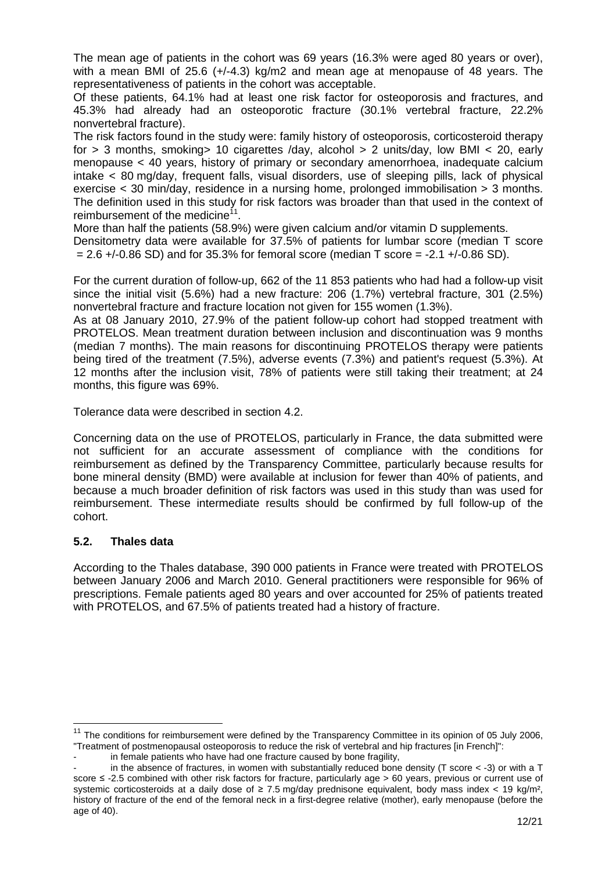The mean age of patients in the cohort was 69 years (16.3% were aged 80 years or over), with a mean BMI of 25.6 (+/-4.3) kg/m2 and mean age at menopause of 48 years. The representativeness of patients in the cohort was acceptable.

Of these patients, 64.1% had at least one risk factor for osteoporosis and fractures, and 45.3% had already had an osteoporotic fracture (30.1% vertebral fracture, 22.2% nonvertebral fracture).

The risk factors found in the study were: family history of osteoporosis, corticosteroid therapy for > 3 months, smoking> 10 cigarettes /day, alcohol > 2 units/day, low BMI < 20, early menopause < 40 years, history of primary or secondary amenorrhoea, inadequate calcium intake < 80 mg/day, frequent falls, visual disorders, use of sleeping pills, lack of physical exercise < 30 min/day, residence in a nursing home, prolonged immobilisation > 3 months. The definition used in this study for risk factors was broader than that used in the context of reimbursement of the medicine<sup>11</sup>.

More than half the patients (58.9%) were given calcium and/or vitamin D supplements.

Densitometry data were available for 37.5% of patients for lumbar score (median T score  $= 2.6 + (-0.86 SD)$  and for 35.3% for femoral score (median T score = -2.1 + $(-0.86 SD)$ .

For the current duration of follow-up, 662 of the 11 853 patients who had had a follow-up visit since the initial visit (5.6%) had a new fracture: 206 (1.7%) vertebral fracture, 301 (2.5%) nonvertebral fracture and fracture location not given for 155 women (1.3%).

As at 08 January 2010, 27.9% of the patient follow-up cohort had stopped treatment with PROTELOS. Mean treatment duration between inclusion and discontinuation was 9 months (median 7 months). The main reasons for discontinuing PROTELOS therapy were patients being tired of the treatment (7.5%), adverse events (7.3%) and patient's request (5.3%). At 12 months after the inclusion visit, 78% of patients were still taking their treatment; at 24 months, this figure was 69%.

Tolerance data were described in section 4.2.

Concerning data on the use of PROTELOS, particularly in France, the data submitted were not sufficient for an accurate assessment of compliance with the conditions for reimbursement as defined by the Transparency Committee, particularly because results for bone mineral density (BMD) were available at inclusion for fewer than 40% of patients, and because a much broader definition of risk factors was used in this study than was used for reimbursement. These intermediate results should be confirmed by full follow-up of the cohort.

## **5.2. Thales data**

l

According to the Thales database, 390 000 patients in France were treated with PROTELOS between January 2006 and March 2010. General practitioners were responsible for 96% of prescriptions. Female patients aged 80 years and over accounted for 25% of patients treated with PROTELOS, and 67.5% of patients treated had a history of fracture.

 $11$  The conditions for reimbursement were defined by the Transparency Committee in its opinion of 05 July 2006, "Treatment of postmenopausal osteoporosis to reduce the risk of vertebral and hip fractures [in French]":

in female patients who have had one fracture caused by bone fragility,

in the absence of fractures, in women with substantially reduced bone density (T score  $\lt$  -3) or with a T score ≤ -2.5 combined with other risk factors for fracture, particularly age > 60 years, previous or current use of systemic corticosteroids at a daily dose of ≥ 7.5 mg/day prednisone equivalent, body mass index < 19 kg/m<sup>2</sup>, history of fracture of the end of the femoral neck in a first-degree relative (mother), early menopause (before the age of 40).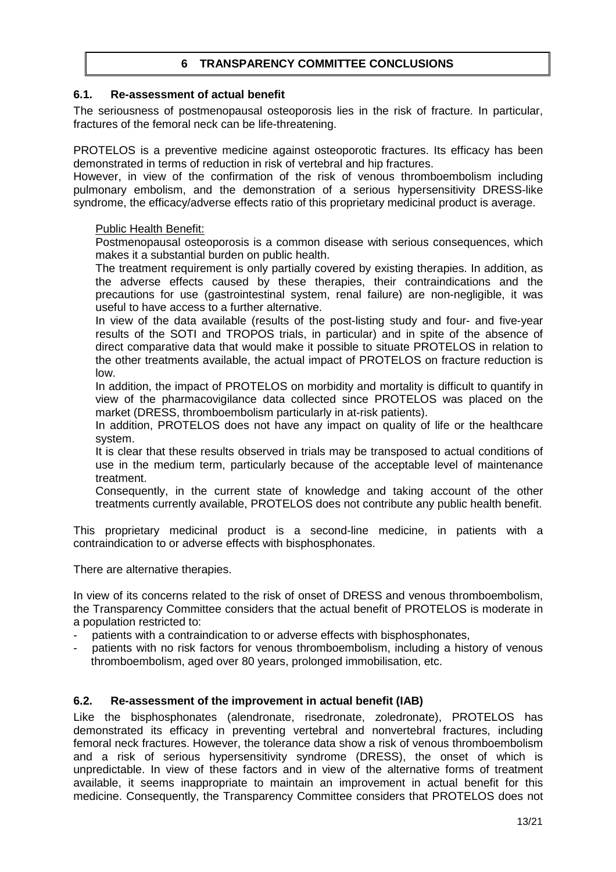## **6 TRANSPARENCY COMMITTEE CONCLUSIONS**

## **6.1. Re-assessment of actual benefit**

The seriousness of postmenopausal osteoporosis lies in the risk of fracture. In particular, fractures of the femoral neck can be life-threatening.

PROTELOS is a preventive medicine against osteoporotic fractures. Its efficacy has been demonstrated in terms of reduction in risk of vertebral and hip fractures.

However, in view of the confirmation of the risk of venous thromboembolism including pulmonary embolism, and the demonstration of a serious hypersensitivity DRESS-like syndrome, the efficacy/adverse effects ratio of this proprietary medicinal product is average.

### Public Health Benefit:

Postmenopausal osteoporosis is a common disease with serious consequences, which makes it a substantial burden on public health.

The treatment requirement is only partially covered by existing therapies. In addition, as the adverse effects caused by these therapies, their contraindications and the precautions for use (gastrointestinal system, renal failure) are non-negligible, it was useful to have access to a further alternative.

In view of the data available (results of the post-listing study and four- and five-year results of the SOTI and TROPOS trials, in particular) and in spite of the absence of direct comparative data that would make it possible to situate PROTELOS in relation to the other treatments available, the actual impact of PROTELOS on fracture reduction is low.

In addition, the impact of PROTELOS on morbidity and mortality is difficult to quantify in view of the pharmacovigilance data collected since PROTELOS was placed on the market (DRESS, thromboembolism particularly in at-risk patients).

In addition, PROTELOS does not have any impact on quality of life or the healthcare system.

It is clear that these results observed in trials may be transposed to actual conditions of use in the medium term, particularly because of the acceptable level of maintenance treatment.

Consequently, in the current state of knowledge and taking account of the other treatments currently available, PROTELOS does not contribute any public health benefit.

This proprietary medicinal product is a second-line medicine, in patients with a contraindication to or adverse effects with bisphosphonates.

There are alternative therapies.

In view of its concerns related to the risk of onset of DRESS and venous thromboembolism, the Transparency Committee considers that the actual benefit of PROTELOS is moderate in a population restricted to:

- patients with a contraindication to or adverse effects with bisphosphonates,
- patients with no risk factors for venous thromboembolism, including a history of venous thromboembolism, aged over 80 years, prolonged immobilisation, etc.

### **6.2. Re-assessment of the improvement in actual benefit (IAB)**

Like the bisphosphonates (alendronate, risedronate, zoledronate), PROTELOS has demonstrated its efficacy in preventing vertebral and nonvertebral fractures, including femoral neck fractures. However, the tolerance data show a risk of venous thromboembolism and a risk of serious hypersensitivity syndrome (DRESS), the onset of which is unpredictable. In view of these factors and in view of the alternative forms of treatment available, it seems inappropriate to maintain an improvement in actual benefit for this medicine. Consequently, the Transparency Committee considers that PROTELOS does not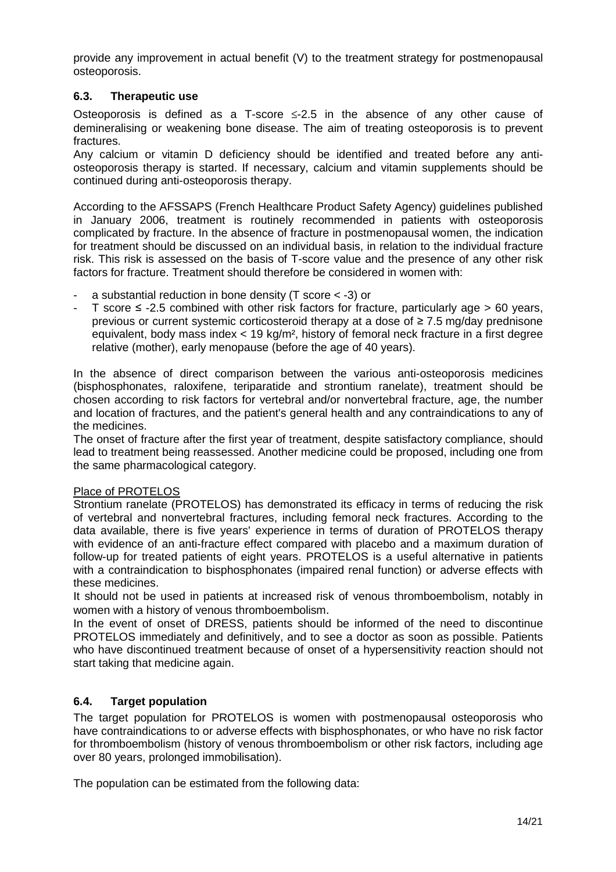provide any improvement in actual benefit (V) to the treatment strategy for postmenopausal osteoporosis.

## **6.3. Therapeutic use**

Osteoporosis is defined as a T-score ≤-2.5 in the absence of any other cause of demineralising or weakening bone disease. The aim of treating osteoporosis is to prevent fractures.

Any calcium or vitamin D deficiency should be identified and treated before any antiosteoporosis therapy is started. If necessary, calcium and vitamin supplements should be continued during anti-osteoporosis therapy.

According to the AFSSAPS (French Healthcare Product Safety Agency) guidelines published in January 2006, treatment is routinely recommended in patients with osteoporosis complicated by fracture. In the absence of fracture in postmenopausal women, the indication for treatment should be discussed on an individual basis, in relation to the individual fracture risk. This risk is assessed on the basis of T-score value and the presence of any other risk factors for fracture. Treatment should therefore be considered in women with:

- a substantial reduction in bone density (T score  $<$  -3) or
- T score  $\leq$  -2.5 combined with other risk factors for fracture, particularly age > 60 years, previous or current systemic corticosteroid therapy at a dose of ≥ 7.5 mg/day prednisone equivalent, body mass index < 19 kg/m², history of femoral neck fracture in a first degree relative (mother), early menopause (before the age of 40 years).

In the absence of direct comparison between the various anti-osteoporosis medicines (bisphosphonates, raloxifene, teriparatide and strontium ranelate), treatment should be chosen according to risk factors for vertebral and/or nonvertebral fracture, age, the number and location of fractures, and the patient's general health and any contraindications to any of the medicines.

The onset of fracture after the first year of treatment, despite satisfactory compliance, should lead to treatment being reassessed. Another medicine could be proposed, including one from the same pharmacological category.

#### Place of PROTELOS

Strontium ranelate (PROTELOS) has demonstrated its efficacy in terms of reducing the risk of vertebral and nonvertebral fractures, including femoral neck fractures. According to the data available, there is five years' experience in terms of duration of PROTELOS therapy with evidence of an anti-fracture effect compared with placebo and a maximum duration of follow-up for treated patients of eight years. PROTELOS is a useful alternative in patients with a contraindication to bisphosphonates (impaired renal function) or adverse effects with these medicines.

It should not be used in patients at increased risk of venous thromboembolism, notably in women with a history of venous thromboembolism.

In the event of onset of DRESS, patients should be informed of the need to discontinue PROTELOS immediately and definitively, and to see a doctor as soon as possible. Patients who have discontinued treatment because of onset of a hypersensitivity reaction should not start taking that medicine again.

## **6.4. Target population**

The target population for PROTELOS is women with postmenopausal osteoporosis who have contraindications to or adverse effects with bisphosphonates, or who have no risk factor for thromboembolism (history of venous thromboembolism or other risk factors, including age over 80 years, prolonged immobilisation).

The population can be estimated from the following data: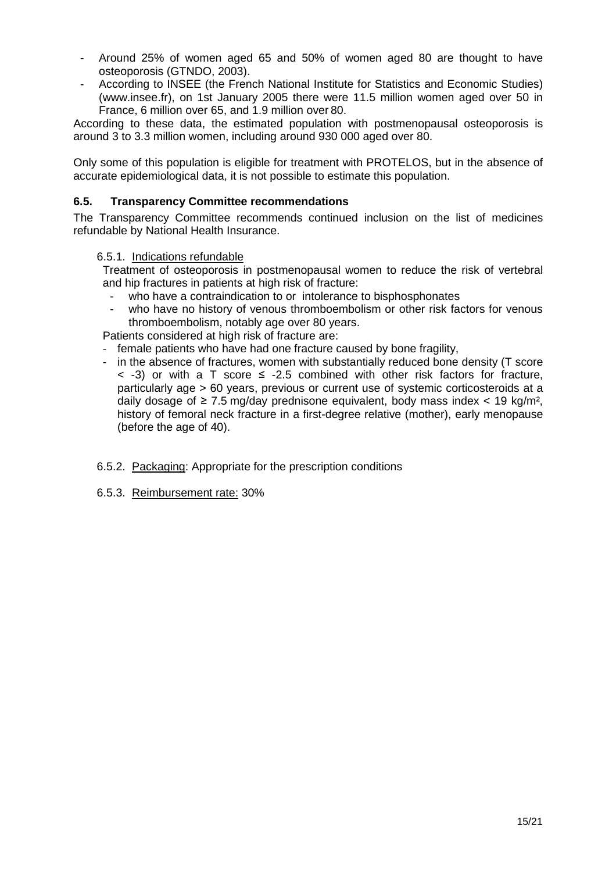- Around 25% of women aged 65 and 50% of women aged 80 are thought to have osteoporosis (GTNDO, 2003).
- According to INSEE (the French National Institute for Statistics and Economic Studies) (www.insee.fr), on 1st January 2005 there were 11.5 million women aged over 50 in France, 6 million over 65, and 1.9 million over 80.

According to these data, the estimated population with postmenopausal osteoporosis is around 3 to 3.3 million women, including around 930 000 aged over 80.

Only some of this population is eligible for treatment with PROTELOS, but in the absence of accurate epidemiological data, it is not possible to estimate this population.

## **6.5. Transparency Committee recommendations**

The Transparency Committee recommends continued inclusion on the list of medicines refundable by National Health Insurance.

### 6.5.1. Indications refundable

Treatment of osteoporosis in postmenopausal women to reduce the risk of vertebral and hip fractures in patients at high risk of fracture:

- who have a contraindication to or intolerance to bisphosphonates
- who have no history of venous thromboembolism or other risk factors for venous thromboembolism, notably age over 80 years.

Patients considered at high risk of fracture are:

- female patients who have had one fracture caused by bone fragility,
- in the absence of fractures, women with substantially reduced bone density (T score  $\langle$  -3) or with a T score  $\leq$  -2.5 combined with other risk factors for fracture, particularly age > 60 years, previous or current use of systemic corticosteroids at a daily dosage of  $\geq 7.5$  mg/day prednisone equivalent, body mass index < 19 kg/m<sup>2</sup>, history of femoral neck fracture in a first-degree relative (mother), early menopause (before the age of 40).
- 6.5.2. Packaging: Appropriate for the prescription conditions
- 6.5.3. Reimbursement rate: 30%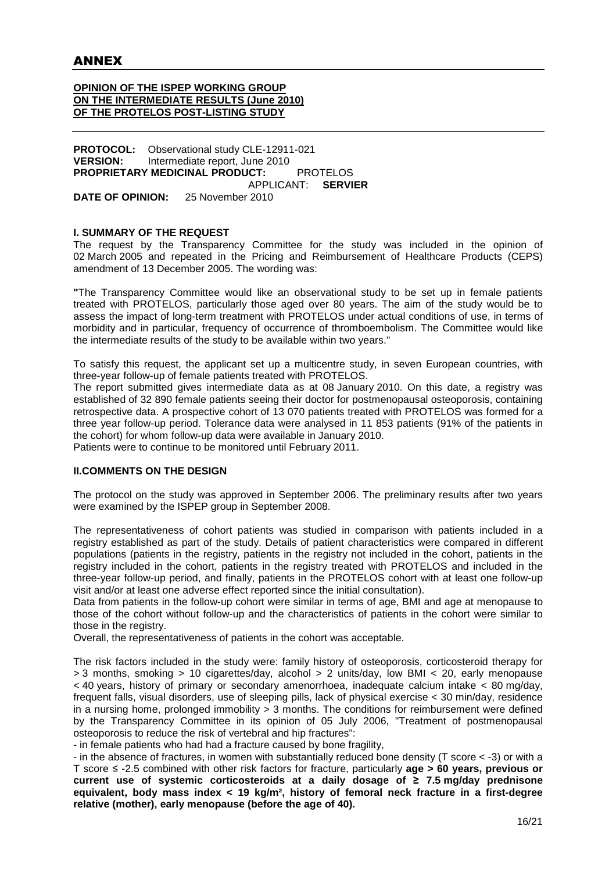#### **OPINION OF THE ISPEP WORKING GROUP ON THE INTERMEDIATE RESULTS (June 2010) OF THE PROTELOS POST-LISTING STUDY**

**PROTOCOL:** Observational study CLE-12911-021 **VERSION:** Intermediate report, June 2010 **PROPRIETARY MEDICINAL PRODUCT:** PROTELOS APPLICANT: **SERVIER DATE OF OPINION:** 25 November 2010

#### **I. SUMMARY OF THE REQUEST**

The request by the Transparency Committee for the study was included in the opinion of 02 March 2005 and repeated in the Pricing and Reimbursement of Healthcare Products (CEPS) amendment of 13 December 2005. The wording was:

**"**The Transparency Committee would like an observational study to be set up in female patients treated with PROTELOS, particularly those aged over 80 years. The aim of the study would be to assess the impact of long-term treatment with PROTELOS under actual conditions of use, in terms of morbidity and in particular, frequency of occurrence of thromboembolism. The Committee would like the intermediate results of the study to be available within two years."

To satisfy this request, the applicant set up a multicentre study, in seven European countries, with three-year follow-up of female patients treated with PROTELOS.

The report submitted gives intermediate data as at 08 January 2010. On this date, a registry was established of 32 890 female patients seeing their doctor for postmenopausal osteoporosis, containing retrospective data. A prospective cohort of 13 070 patients treated with PROTELOS was formed for a three year follow-up period. Tolerance data were analysed in 11 853 patients (91% of the patients in the cohort) for whom follow-up data were available in January 2010.

Patients were to continue to be monitored until February 2011.

#### **II.COMMENTS ON THE DESIGN**

The protocol on the study was approved in September 2006. The preliminary results after two years were examined by the ISPEP group in September 2008.

The representativeness of cohort patients was studied in comparison with patients included in a registry established as part of the study. Details of patient characteristics were compared in different populations (patients in the registry, patients in the registry not included in the cohort, patients in the registry included in the cohort, patients in the registry treated with PROTELOS and included in the three-year follow-up period, and finally, patients in the PROTELOS cohort with at least one follow-up visit and/or at least one adverse effect reported since the initial consultation).

Data from patients in the follow-up cohort were similar in terms of age, BMI and age at menopause to those of the cohort without follow-up and the characteristics of patients in the cohort were similar to those in the registry.

Overall, the representativeness of patients in the cohort was acceptable.

The risk factors included in the study were: family history of osteoporosis, corticosteroid therapy for > 3 months, smoking > 10 cigarettes/day, alcohol > 2 units/day, low BMI < 20, early menopause < 40 years, history of primary or secondary amenorrhoea, inadequate calcium intake < 80 mg/day, frequent falls, visual disorders, use of sleeping pills, lack of physical exercise < 30 min/day, residence in a nursing home, prolonged immobility  $> 3$  months. The conditions for reimbursement were defined by the Transparency Committee in its opinion of 05 July 2006, "Treatment of postmenopausal osteoporosis to reduce the risk of vertebral and hip fractures":

- in female patients who had had a fracture caused by bone fragility,

- in the absence of fractures, in women with substantially reduced bone density (T score < -3) or with a T score ≤ -2.5 combined with other risk factors for fracture, particularly **age > 60 years, previous or current use of systemic corticosteroids at a daily dosage of ≥ 7.5 mg/day prednisone equivalent, body mass index < 19 kg/m², history of femoral neck fracture in a first-degree relative (mother), early menopause (before the age of 40).**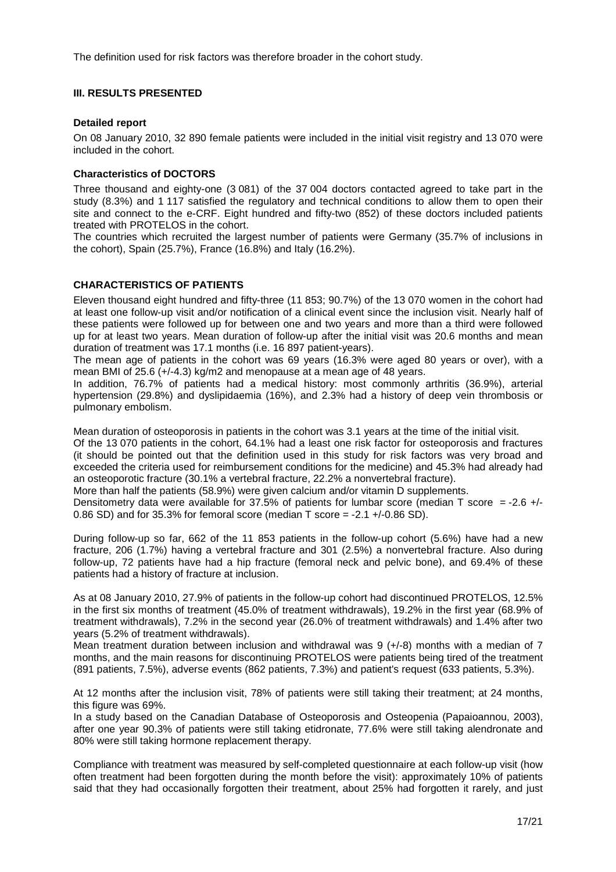The definition used for risk factors was therefore broader in the cohort study.

#### **III. RESULTS PRESENTED**

#### **Detailed report**

On 08 January 2010, 32 890 female patients were included in the initial visit registry and 13 070 were included in the cohort.

#### **Characteristics of DOCTORS**

Three thousand and eighty-one (3 081) of the 37 004 doctors contacted agreed to take part in the study (8.3%) and 1 117 satisfied the regulatory and technical conditions to allow them to open their site and connect to the e-CRF. Eight hundred and fifty-two (852) of these doctors included patients treated with PROTELOS in the cohort.

The countries which recruited the largest number of patients were Germany (35.7% of inclusions in the cohort), Spain (25.7%), France (16.8%) and Italy (16.2%).

### **CHARACTERISTICS OF PATIENTS**

Eleven thousand eight hundred and fifty-three (11 853; 90.7%) of the 13 070 women in the cohort had at least one follow-up visit and/or notification of a clinical event since the inclusion visit. Nearly half of these patients were followed up for between one and two years and more than a third were followed up for at least two years. Mean duration of follow-up after the initial visit was 20.6 months and mean duration of treatment was 17.1 months (i.e. 16 897 patient-years).

The mean age of patients in the cohort was 69 years (16.3% were aged 80 years or over), with a mean BMI of 25.6 (+/-4.3) kg/m2 and menopause at a mean age of 48 years.

In addition, 76.7% of patients had a medical history: most commonly arthritis (36.9%), arterial hypertension (29.8%) and dyslipidaemia (16%), and 2.3% had a history of deep vein thrombosis or pulmonary embolism.

Mean duration of osteoporosis in patients in the cohort was 3.1 years at the time of the initial visit.

Of the 13 070 patients in the cohort, 64.1% had a least one risk factor for osteoporosis and fractures (it should be pointed out that the definition used in this study for risk factors was very broad and exceeded the criteria used for reimbursement conditions for the medicine) and 45.3% had already had an osteoporotic fracture (30.1% a vertebral fracture, 22.2% a nonvertebral fracture).

More than half the patients (58.9%) were given calcium and/or vitamin D supplements.

Densitometry data were available for 37.5% of patients for lumbar score (median T score = -2.6 +/-0.86 SD) and for 35.3% for femoral score (median T score = -2.1 +/-0.86 SD).

During follow-up so far, 662 of the 11 853 patients in the follow-up cohort (5.6%) have had a new fracture, 206 (1.7%) having a vertebral fracture and 301 (2.5%) a nonvertebral fracture. Also during follow-up, 72 patients have had a hip fracture (femoral neck and pelvic bone), and 69.4% of these patients had a history of fracture at inclusion.

As at 08 January 2010, 27.9% of patients in the follow-up cohort had discontinued PROTELOS, 12.5% in the first six months of treatment (45.0% of treatment withdrawals), 19.2% in the first year (68.9% of treatment withdrawals), 7.2% in the second year (26.0% of treatment withdrawals) and 1.4% after two years (5.2% of treatment withdrawals).

Mean treatment duration between inclusion and withdrawal was 9 (+/-8) months with a median of 7 months, and the main reasons for discontinuing PROTELOS were patients being tired of the treatment (891 patients, 7.5%), adverse events (862 patients, 7.3%) and patient's request (633 patients, 5.3%).

At 12 months after the inclusion visit, 78% of patients were still taking their treatment; at 24 months, this figure was 69%.

In a study based on the Canadian Database of Osteoporosis and Osteopenia (Papaioannou, 2003), after one year 90.3% of patients were still taking etidronate, 77.6% were still taking alendronate and 80% were still taking hormone replacement therapy.

Compliance with treatment was measured by self-completed questionnaire at each follow-up visit (how often treatment had been forgotten during the month before the visit): approximately 10% of patients said that they had occasionally forgotten their treatment, about 25% had forgotten it rarely, and just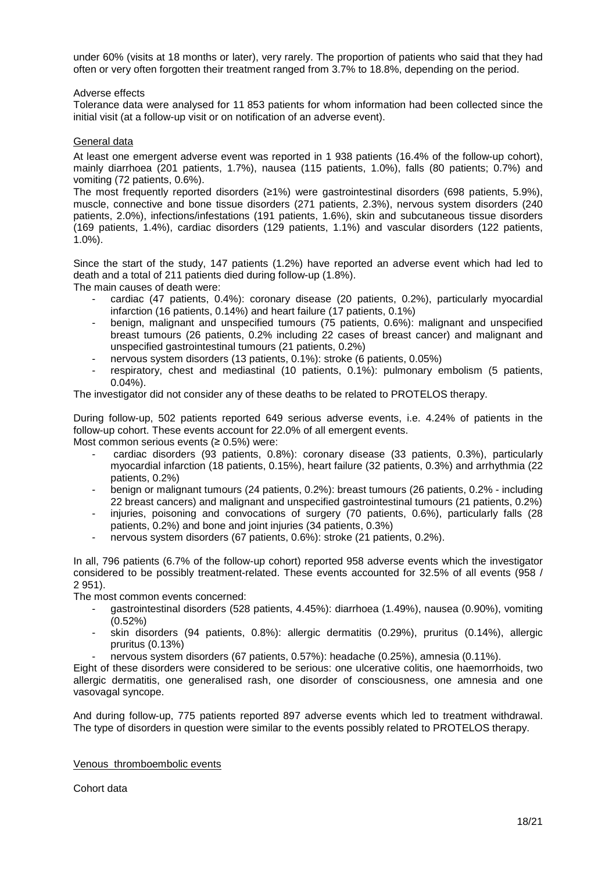under 60% (visits at 18 months or later), very rarely. The proportion of patients who said that they had often or very often forgotten their treatment ranged from 3.7% to 18.8%, depending on the period.

#### Adverse effects

Tolerance data were analysed for 11 853 patients for whom information had been collected since the initial visit (at a follow-up visit or on notification of an adverse event).

#### General data

At least one emergent adverse event was reported in 1 938 patients (16.4% of the follow-up cohort), mainly diarrhoea (201 patients, 1.7%), nausea (115 patients, 1.0%), falls (80 patients; 0.7%) and vomiting (72 patients, 0.6%).

The most frequently reported disorders (≥1%) were gastrointestinal disorders (698 patients, 5.9%), muscle, connective and bone tissue disorders (271 patients, 2.3%), nervous system disorders (240 patients, 2.0%), infections/infestations (191 patients, 1.6%), skin and subcutaneous tissue disorders (169 patients, 1.4%), cardiac disorders (129 patients, 1.1%) and vascular disorders (122 patients, 1.0%).

Since the start of the study, 147 patients (1.2%) have reported an adverse event which had led to death and a total of 211 patients died during follow-up (1.8%).

The main causes of death were:

- cardiac (47 patients, 0.4%): coronary disease (20 patients, 0.2%), particularly myocardial infarction (16 patients, 0.14%) and heart failure (17 patients, 0.1%)
- benign, malignant and unspecified tumours (75 patients, 0.6%): malignant and unspecified breast tumours (26 patients, 0.2% including 22 cases of breast cancer) and malignant and unspecified gastrointestinal tumours (21 patients, 0.2%)
- nervous system disorders (13 patients, 0.1%): stroke (6 patients, 0.05%)
- respiratory, chest and mediastinal (10 patients, 0.1%): pulmonary embolism (5 patients, 0.04%).

The investigator did not consider any of these deaths to be related to PROTELOS therapy.

During follow-up, 502 patients reported 649 serious adverse events, i.e. 4.24% of patients in the follow-up cohort. These events account for 22.0% of all emergent events.

Most common serious events  $(≥ 0.5%)$  were:

- cardiac disorders (93 patients, 0.8%): coronary disease (33 patients, 0.3%), particularly myocardial infarction (18 patients, 0.15%), heart failure (32 patients, 0.3%) and arrhythmia (22 patients, 0.2%)
- benign or malignant tumours (24 patients, 0.2%): breast tumours (26 patients, 0.2% including 22 breast cancers) and malignant and unspecified gastrointestinal tumours (21 patients, 0.2%)
- injuries, poisoning and convocations of surgery (70 patients, 0.6%), particularly falls (28 patients, 0.2%) and bone and joint injuries (34 patients, 0.3%)
- nervous system disorders (67 patients, 0.6%): stroke (21 patients, 0.2%).

In all, 796 patients (6.7% of the follow-up cohort) reported 958 adverse events which the investigator considered to be possibly treatment-related. These events accounted for 32.5% of all events (958 / 2 951).

The most common events concerned:

- gastrointestinal disorders (528 patients, 4.45%): diarrhoea (1.49%), nausea (0.90%), vomiting (0.52%)
- skin disorders (94 patients, 0.8%): allergic dermatitis (0.29%), pruritus (0.14%), allergic pruritus (0.13%)
- nervous system disorders (67 patients, 0.57%): headache (0.25%), amnesia (0.11%).

Eight of these disorders were considered to be serious: one ulcerative colitis, one haemorrhoids, two allergic dermatitis, one generalised rash, one disorder of consciousness, one amnesia and one vasovagal syncope.

And during follow-up, 775 patients reported 897 adverse events which led to treatment withdrawal. The type of disorders in question were similar to the events possibly related to PROTELOS therapy.

#### Venous thromboembolic events

Cohort data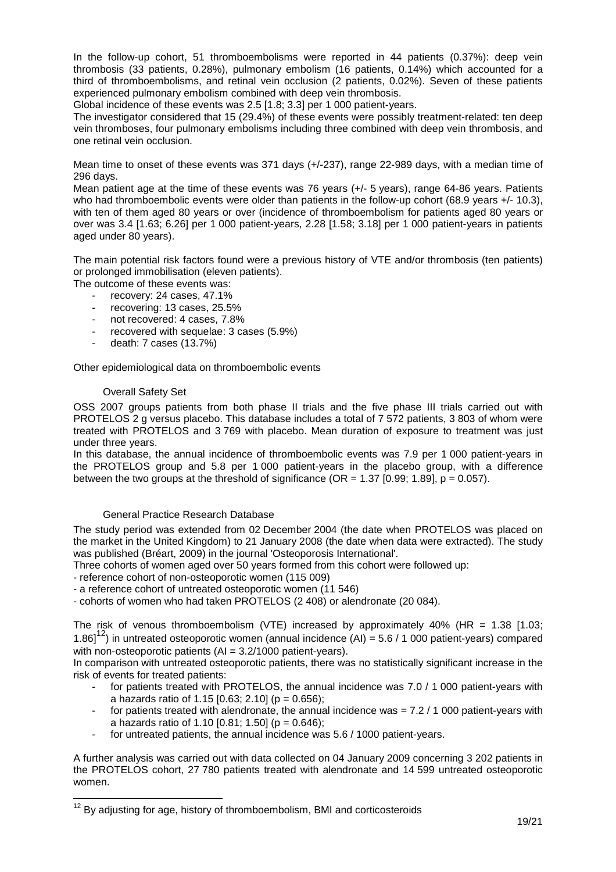In the follow-up cohort, 51 thromboembolisms were reported in 44 patients (0.37%): deep vein thrombosis (33 patients, 0.28%), pulmonary embolism (16 patients, 0.14%) which accounted for a third of thromboembolisms, and retinal vein occlusion (2 patients, 0.02%). Seven of these patients experienced pulmonary embolism combined with deep vein thrombosis.

Global incidence of these events was 2.5 [1.8; 3.3] per 1 000 patient-years.

The investigator considered that 15 (29.4%) of these events were possibly treatment-related: ten deep vein thromboses, four pulmonary embolisms including three combined with deep vein thrombosis, and one retinal vein occlusion.

Mean time to onset of these events was 371 days (+/-237), range 22-989 days, with a median time of 296 days.

Mean patient age at the time of these events was 76 years (+/- 5 years), range 64-86 years. Patients who had thromboembolic events were older than patients in the follow-up cohort (68.9 years +/- 10.3), with ten of them aged 80 years or over (incidence of thromboembolism for patients aged 80 years or over was 3.4 [1.63; 6.26] per 1 000 patient-years, 2.28 [1.58; 3.18] per 1 000 patient-years in patients aged under 80 years).

The main potential risk factors found were a previous history of VTE and/or thrombosis (ten patients) or prolonged immobilisation (eleven patients).

The outcome of these events was:

- recovery: 24 cases, 47.1%
- recovering: 13 cases, 25.5%
- not recovered: 4 cases, 7.8%
- recovered with sequelae: 3 cases (5.9%)
- death: 7 cases (13.7%)

Other epidemiological data on thromboembolic events

#### Overall Safety Set

l

OSS 2007 groups patients from both phase II trials and the five phase III trials carried out with PROTELOS 2 g versus placebo. This database includes a total of 7 572 patients, 3 803 of whom were treated with PROTELOS and 3 769 with placebo. Mean duration of exposure to treatment was just under three years.

In this database, the annual incidence of thromboembolic events was 7.9 per 1 000 patient-years in the PROTELOS group and 5.8 per 1 000 patient-years in the placebo group, with a difference between the two groups at the threshold of significance ( $OR = 1.37$  [0.99; 1.89],  $p = 0.057$ ).

#### General Practice Research Database

The study period was extended from 02 December 2004 (the date when PROTELOS was placed on the market in the United Kingdom) to 21 January 2008 (the date when data were extracted). The study was published (Bréart, 2009) in the journal 'Osteoporosis International'.

Three cohorts of women aged over 50 years formed from this cohort were followed up:

- reference cohort of non-osteoporotic women (115 009)
- a reference cohort of untreated osteoporotic women (11 546)
- cohorts of women who had taken PROTELOS (2 408) or alendronate (20 084).

The risk of venous thromboembolism (VTE) increased by approximately 40% (HR = 1.38  $[1.03]$ ; 1.86]<sup>12</sup>) in untreated osteoporotic women (annual incidence (AI) = 5.6 / 1 000 patient-years) compared with non-osteoporotic patients (AI = 3.2/1000 patient-years).

In comparison with untreated osteoporotic patients, there was no statistically significant increase in the risk of events for treated patients:

- for patients treated with PROTELOS, the annual incidence was 7.0 / 1 000 patient-years with a hazards ratio of 1.15  $[0.63; 2.10]$  (p = 0.656);
- for patients treated with alendronate, the annual incidence was = 7.2 / 1 000 patient-years with a hazards ratio of 1.10  $[0.81; 1.50]$  (p = 0.646);
- for untreated patients, the annual incidence was 5.6 / 1000 patient-years.

A further analysis was carried out with data collected on 04 January 2009 concerning 3 202 patients in the PROTELOS cohort, 27 780 patients treated with alendronate and 14 599 untreated osteoporotic women.

 $12$  By adjusting for age, history of thromboembolism, BMI and corticosteroids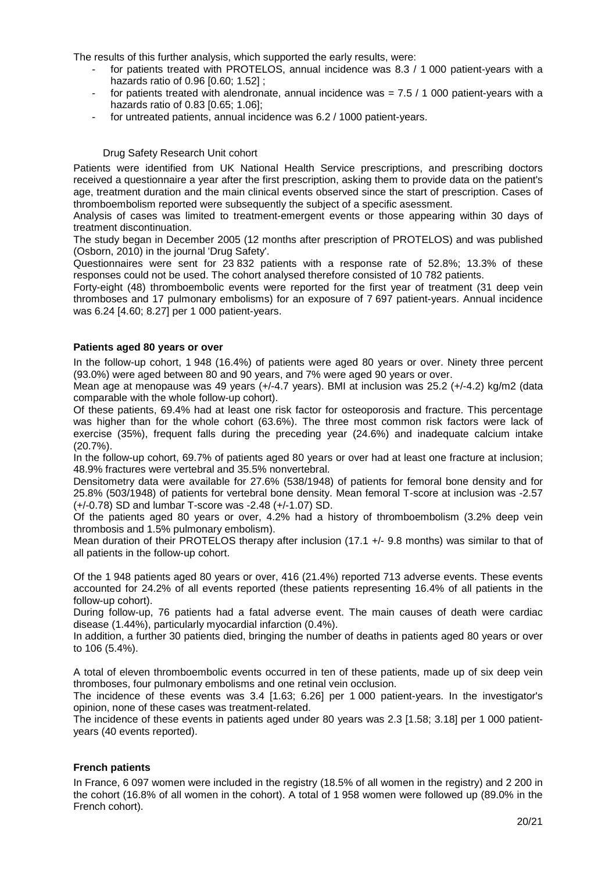The results of this further analysis, which supported the early results, were:

- for patients treated with PROTELOS, annual incidence was 8.3 / 1 000 patient-years with a hazards ratio of 0.96 [0.60; 1.52] ;
- for patients treated with alendronate, annual incidence was  $= 7.5 / 1000$  patient-years with a hazards ratio of 0.83 [0.65; 1.06];
- for untreated patients, annual incidence was 6.2 / 1000 patient-years.

#### Drug Safety Research Unit cohort

Patients were identified from UK National Health Service prescriptions, and prescribing doctors received a questionnaire a year after the first prescription, asking them to provide data on the patient's age, treatment duration and the main clinical events observed since the start of prescription. Cases of thromboembolism reported were subsequently the subject of a specific asessment.

Analysis of cases was limited to treatment-emergent events or those appearing within 30 days of treatment discontinuation.

The study began in December 2005 (12 months after prescription of PROTELOS) and was published (Osborn, 2010) in the journal 'Drug Safety'.

Questionnaires were sent for 23 832 patients with a response rate of 52.8%; 13.3% of these responses could not be used. The cohort analysed therefore consisted of 10 782 patients.

Forty-eight (48) thromboembolic events were reported for the first year of treatment (31 deep vein thromboses and 17 pulmonary embolisms) for an exposure of 7 697 patient-years. Annual incidence was 6.24 [4.60; 8.27] per 1 000 patient-years.

#### **Patients aged 80 years or over**

In the follow-up cohort, 1 948 (16.4%) of patients were aged 80 years or over. Ninety three percent (93.0%) were aged between 80 and 90 years, and 7% were aged 90 years or over.

Mean age at menopause was 49 years (+/-4.7 years). BMI at inclusion was 25.2 (+/-4.2) kg/m2 (data comparable with the whole follow-up cohort).

Of these patients, 69.4% had at least one risk factor for osteoporosis and fracture. This percentage was higher than for the whole cohort (63.6%). The three most common risk factors were lack of exercise (35%), frequent falls during the preceding year (24.6%) and inadequate calcium intake (20.7%).

In the follow-up cohort, 69.7% of patients aged 80 years or over had at least one fracture at inclusion; 48.9% fractures were vertebral and 35.5% nonvertebral.

Densitometry data were available for 27.6% (538/1948) of patients for femoral bone density and for 25.8% (503/1948) of patients for vertebral bone density. Mean femoral T-score at inclusion was -2.57 (+/-0.78) SD and lumbar T-score was -2.48 (+/-1.07) SD.

Of the patients aged 80 years or over, 4.2% had a history of thromboembolism (3.2% deep vein thrombosis and 1.5% pulmonary embolism).

Mean duration of their PROTELOS therapy after inclusion (17.1 +/- 9.8 months) was similar to that of all patients in the follow-up cohort.

Of the 1 948 patients aged 80 years or over, 416 (21.4%) reported 713 adverse events. These events accounted for 24.2% of all events reported (these patients representing 16.4% of all patients in the follow-up cohort).

During follow-up, 76 patients had a fatal adverse event. The main causes of death were cardiac disease (1.44%), particularly myocardial infarction (0.4%).

In addition, a further 30 patients died, bringing the number of deaths in patients aged 80 years or over to 106 (5.4%).

A total of eleven thromboembolic events occurred in ten of these patients, made up of six deep vein thromboses, four pulmonary embolisms and one retinal vein occlusion.

The incidence of these events was 3.4 [1.63; 6.26] per 1 000 patient-years. In the investigator's opinion, none of these cases was treatment-related.

The incidence of these events in patients aged under 80 years was 2.3 [1.58; 3.18] per 1 000 patientyears (40 events reported).

#### **French patients**

In France, 6 097 women were included in the registry (18.5% of all women in the registry) and 2 200 in the cohort (16.8% of all women in the cohort). A total of 1 958 women were followed up (89.0% in the French cohort).